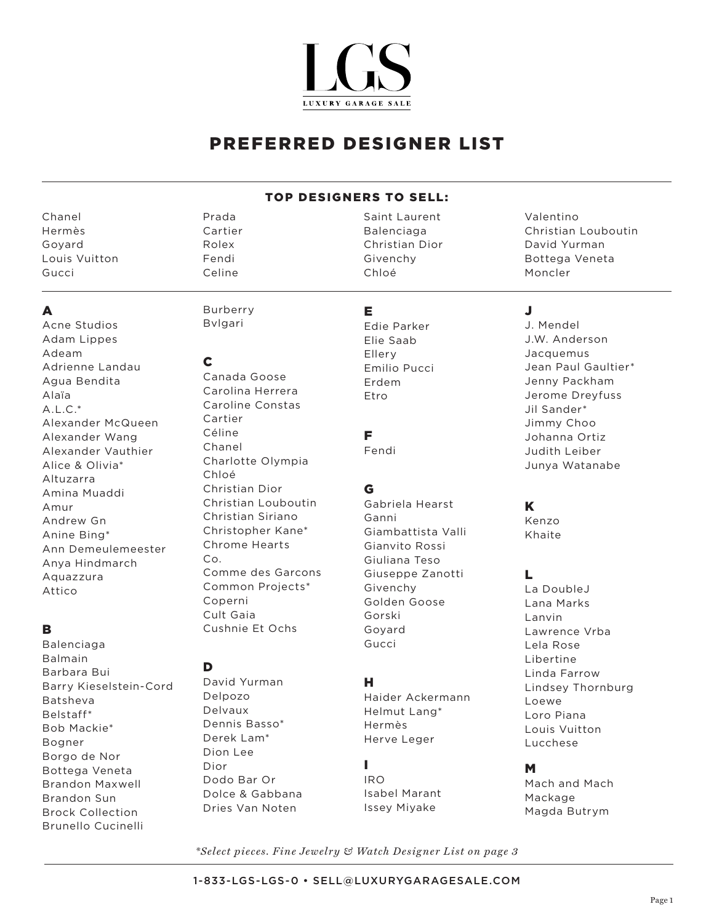

# PREFERRED DESIGNER LIST

#### TOP DESIGNERS TO SELL:

| Chanel        | Prada   | Saint Laurent         | Valentino           |
|---------------|---------|-----------------------|---------------------|
| Hermès        | Cartier | Balenciaga            | Christian Louboutin |
| Govard        | Rolex   | <b>Christian Dior</b> | David Yurman        |
| Louis Vuitton | Fendi   | Givenchy              | Bottega Veneta      |
| Gucci         | Celine  | Chloé                 | Moncler             |

#### A

Acne Studios Adam Lippes Adeam Adrienne Landau Agua Bendita Alaïa A.L.C.\* Alexander McQueen Alexander Wang Alexander Vauthier Alice & Olivia\* Altuzarra Amina Muaddi Amur Andrew Gn Anine Bing\* Ann Demeulemeester Anya Hindmarch Aquazzura Attico

#### B

Balenciaga Balmain Barbara Bui Barry Kieselstein-Cord Batsheva Belstaff\* Bob Mackie\* Bogner Borgo de Nor Bottega Veneta Brandon Maxwell Brandon Sun Brock Collection Brunello Cucinelli

Burberry Bvlgari

#### C

Canada Goose Carolina Herrera Caroline Constas Cartier Céline Chanel Charlotte Olympia Chloé Christian Dior Christian Louboutin Christian Siriano Christopher Kane\* Chrome Hearts Co. Comme des Garcons Common Projects\* Coperni Cult Gaia Cushnie Et Ochs

#### D

David Yurman Delpozo Delvaux Dennis Basso\* Derek Lam\* Dion Lee Dior Dodo Bar Or Dolce & Gabbana Dries Van Noten

# E

Edie Parker Elie Saab Ellery Emilio Pucci Erdem Etro

# F

Fendi

### G

Gabriela Hearst Ganni Giambattista Valli Gianvito Rossi Giuliana Teso Giuseppe Zanotti Givenchy Golden Goose Gorski Goyard Gucci

#### H

Haider Ackermann Helmut Lang\* Hermès Herve Leger

### I

IRO Isabel Marant Issey Miyake

# J

J. Mendel J.W. Anderson Jacquemus Jean Paul Gaultier\* Jenny Packham Jerome Dreyfuss Jil Sander\* Jimmy Choo Johanna Ortiz Judith Leiber Junya Watanabe

### K

Kenzo Khaite

### L

La DoubleJ Lana Marks Lanvin Lawrence Vrba Lela Rose Libertine Linda Farrow Lindsey Thornburg Loewe Loro Piana Louis Vuitton Lucchese

#### M

Mach and Mach Mackage Magda Butrym

*\*Select pieces. Fine Jewelry & Watch Designer List on page 3*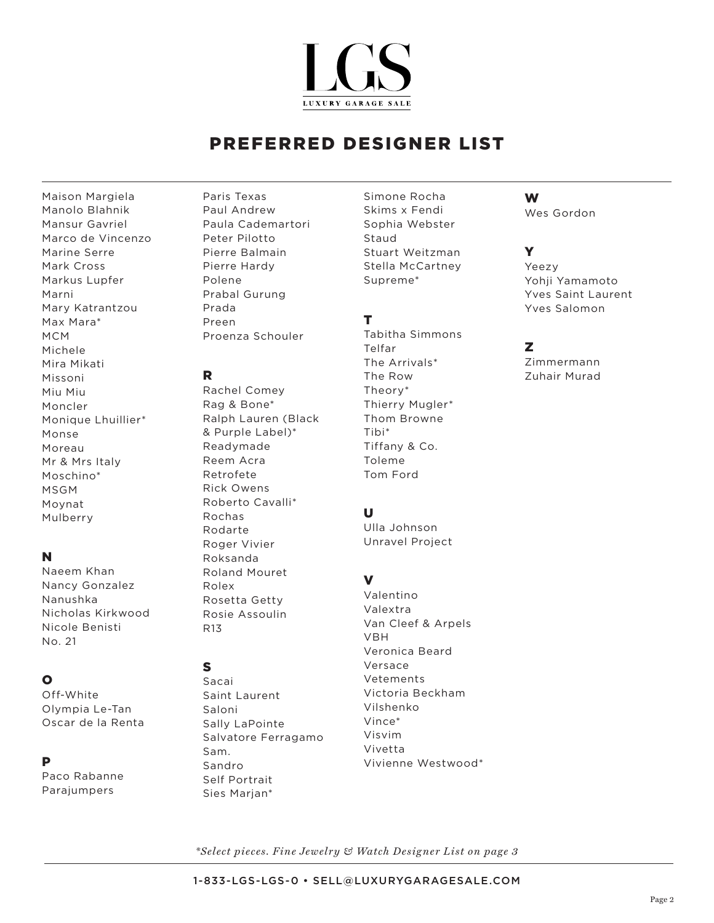

# PREFERRED DESIGNER LIST

Maison Margiela Manolo Blahnik Mansur Gavriel Marco de Vincenzo Marine Serre Mark Cross Markus Lupfer Marni Mary Katrantzou Max Mara\* MCM Michele Mira Mikati Missoni Miu Miu Moncler Monique Lhuillier\* Monse Moreau Mr & Mrs Italy Moschino\* MSGM Moynat Mulberry

#### N

Naeem Khan Nancy Gonzalez Nanushka Nicholas Kirkwood Nicole Benisti No. 21

### O

Off-White Olympia Le-Tan Oscar de la Renta

#### P

Paco Rabanne Parajumpers

Paris Texas Paul Andrew Paula Cademartori Peter Pilotto Pierre Balmain Pierre Hardy Polene Prabal Gurung Prada Preen Proenza Schouler

### R

Rachel Comey Rag & Bone\* Ralph Lauren (Black & Purple Label)\* Readymade Reem Acra Retrofete Rick Owens Roberto Cavalli\* Rochas Rodarte Roger Vivier Roksanda Roland Mouret Rolex Rosetta Getty Rosie Assoulin R13

#### S

Sacai Saint Laurent Saloni Sally LaPointe Salvatore Ferragamo Sam. Sandro Self Portrait Sies Marjan\*

Simone Rocha Skims x Fendi Sophia Webster Staud Stuart Weitzman Stella McCartney Supreme\*

#### T

Tabitha Simmons Telfar The Arrivals\* The Row Theory\* Thierry Mugler\* Thom Browne Tibi\* Tiffany & Co. Toleme Tom Ford

### U

Ulla Johnson Unravel Project

### V

Valentino Valextra Van Cleef & Arpels VBH Veronica Beard Versace Vetements Victoria Beckham Vilshenko Vince\* Visvim Vivetta Vivienne Westwood\* W Wes Gordon

#### Y

Yeezy Yohji Yamamoto Yves Saint Laurent Yves Salomon

### $\overline{z}$

Zimmermann Zuhair Murad

*\*Select pieces. Fine Jewelry & Watch Designer List on page 3*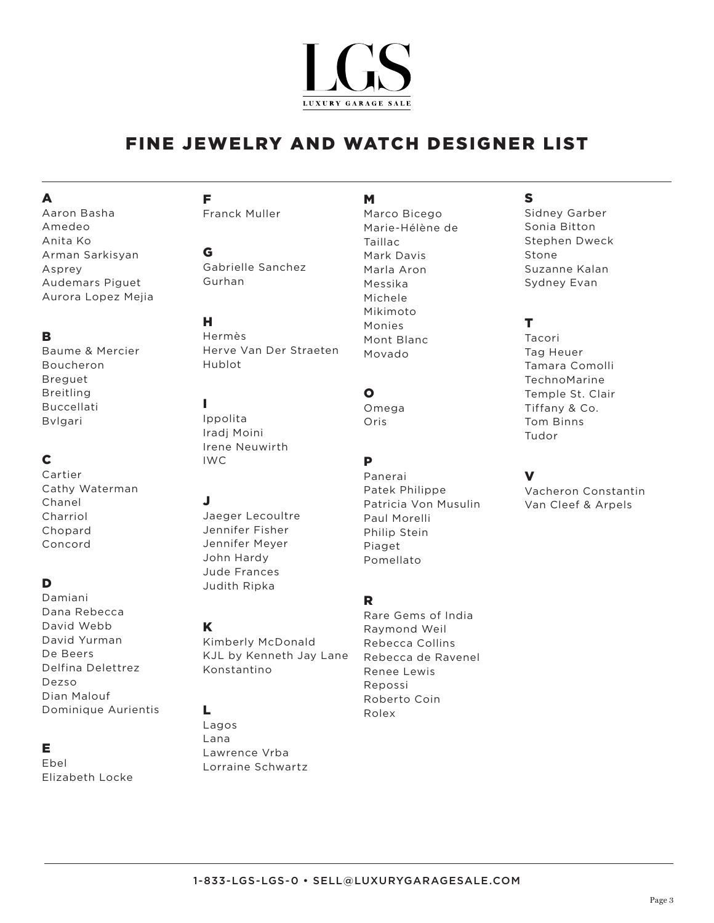

# FINE JEWELRY AND WATCH DESIGNER LIST

M

#### A

Aaron Basha Amedeo Anita Ko Arman Sarkisyan Asprey Audemars Piguet Aurora Lopez Mejia

### B

Baume & Mercier Boucheron Breguet Breitling Buccellati Bvlgari

### C

Cartier Cathy Waterman Chanel Charriol Chopard Concord

### D

Damiani Dana Rebecca David Webb David Yurman De Beers Delfina Delettrez Dezso Dian Malouf Dominique Aurientis

### E

Ebel Elizabeth Locke Franck Muller

### G

F

Gabrielle Sanchez Gurhan

#### H

Hermès Herve Van Der Straeten Hublot

I Ippolita Iradj Moini Irene Neuwirth IWC

### J

Jaeger Lecoultre Jennifer Fisher Jennifer Meyer John Hardy Jude Frances Judith Ripka

### K

Kimberly McDonald KJL by Kenneth Jay Lane Konstantino

# L

Lagos Lana Lawrence Vrba Lorraine Schwartz

Marco Bicego Marie-Hélène de Taillac Mark Davis Marla Aron Messika Michele Mikimoto Monies Mont Blanc Movado

## O

Omega Oris

### P

Panerai Patek Philippe Patricia Von Musulin Paul Morelli Philip Stein Piaget Pomellato

### R

Rare Gems of India Raymond Weil Rebecca Collins Rebecca de Ravenel Renee Lewis Repossi Roberto Coin Rolex

## S

Sidney Garber Sonia Bitton Stephen Dweck Stone Suzanne Kalan Sydney Evan

### T

Tacori Tag Heuer Tamara Comolli **TechnoMarine** Temple St. Clair Tiffany & Co. Tom Binns Tudor

### V

Vacheron Constantin Van Cleef & Arpels

#### Page 3